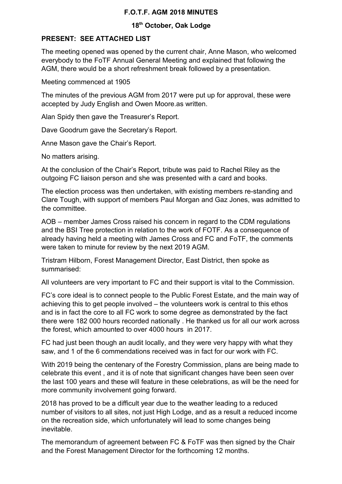## **F.O.T.F. AGM 2018 MINUTES**

## **18th October, Oak Lodge**

## **PRESENT: SEE ATTACHED LIST**

The meeting opened was opened by the current chair, Anne Mason, who welcomed everybody to the FoTF Annual General Meeting and explained that following the AGM, there would be a short refreshment break followed by a presentation.

Meeting commenced at 1905

The minutes of the previous AGM from 2017 were put up for approval, these were accepted by Judy English and Owen Moore.as written.

Alan Spidy then gave the Treasurer's Report.

Dave Goodrum gave the Secretary's Report.

Anne Mason gave the Chair's Report.

No matters arising.

At the conclusion of the Chair's Report, tribute was paid to Rachel Riley as the outgoing FC liaison person and she was presented with a card and books.

The election process was then undertaken, with existing members re-standing and Clare Tough, with support of members Paul Morgan and Gaz Jones, was admitted to the committee.

AOB – member James Cross raised his concern in regard to the CDM regulations and the BSI Tree protection in relation to the work of FOTF. As a consequence of already having held a meeting with James Cross and FC and FoTF, the comments were taken to minute for review by the next 2019 AGM.

Tristram Hilborn, Forest Management Director, East District, then spoke as summarised:

All volunteers are very important to FC and their support is vital to the Commission.

FC's core ideal is to connect people to the Public Forest Estate, and the main way of achieving this to get people involved – the volunteers work is central to this ethos and is in fact the core to all FC work to some degree as demonstrated by the fact there were 182 000 hours recorded nationally . He thanked us for all our work across the forest, which amounted to over 4000 hours in 2017.

FC had just been though an audit locally, and they were very happy with what they saw, and 1 of the 6 commendations received was in fact for our work with FC.

With 2019 being the centenary of the Forestry Commission, plans are being made to celebrate this event , and it is of note that significant changes have been seen over the last 100 years and these will feature in these celebrations, as will be the need for more community involvement going forward.

2018 has proved to be a difficult year due to the weather leading to a reduced number of visitors to all sites, not just High Lodge, and as a result a reduced income on the recreation side, which unfortunately will lead to some changes being inevitable.

The memorandum of agreement between FC & FoTF was then signed by the Chair and the Forest Management Director for the forthcoming 12 months.